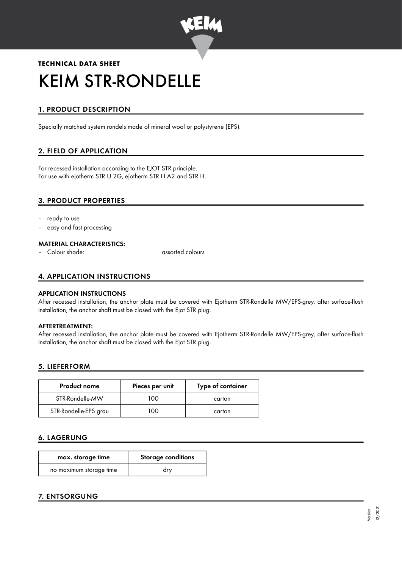

# **TECHNICAL DATA SHEET** KEIM STR-RONDELLE

# 1. PRODUCT DESCRIPTION

Specially matched system rondels made of mineral wool or polystyrene (EPS).

# 2. FIELD OF APPLICATION

For recessed installation according to the EJOT STR principle. For use with ejotherm STR U 2G, ejotherm STR H A2 and STR H.

# 3. PRODUCT PROPERTIES

- ready to use
- easy and fast processing

#### MATERIAL CHARACTERISTICS:

– Colour shade: assorted colours

# 4. APPLICATION INSTRUCTIONS

#### APPLICATION INSTRUCTIONS

After recessed installation, the anchor plate must be covered with Ejotherm STR-Rondelle MW/EPS-grey, after surface-flush installation, the anchor shaft must be closed with the Ejot STR plug.

#### AFTERTREATMENT:

After recessed installation, the anchor plate must be covered with Ejotherm STR-Rondelle MW/EPS-grey, after surface-flush installation, the anchor shaft must be closed with the Ejot STR plug.

## 5. LIEFERFORM

| <b>Product name</b>   | Pieces per unit | Type of container |
|-----------------------|-----------------|-------------------|
| STR-Rondelle-MW       | 100             | carton            |
| STR-Rondelle-EPS grau | חחו             | carton            |

## 6. LAGERUNG

| max. storage time       | <b>Storage conditions</b> |  |
|-------------------------|---------------------------|--|
| no maximum storage time | drv                       |  |

# 7. ENTSORGUNG